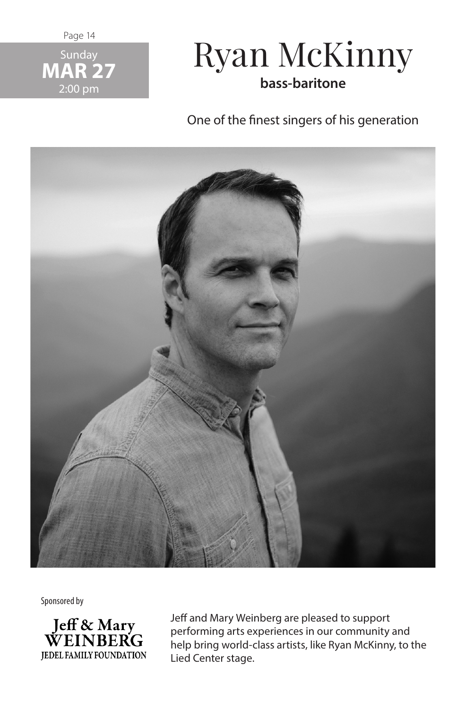Page 14



## Ryan McKinny **bass-baritone**

One of the finest singers of his generation



Sponsored by



Jeff and Mary Weinberg are pleased to support performing arts experiences in our community and help bring world-class artists, like Ryan McKinny, to the Lied Center stage.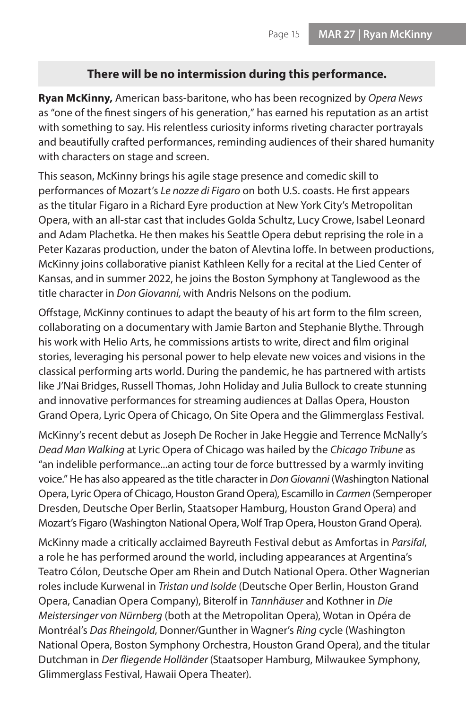## **There will be no intermission during this performance.**

**Ryan McKinny,** American bass-baritone, who has been recognized by *Opera News*  as "one of the finest singers of his generation," has earned his reputation as an artist with something to say. His relentless curiosity informs riveting character portrayals and beautifully crafted performances, reminding audiences of their shared humanity with characters on stage and screen.

This season, McKinny brings his agile stage presence and comedic skill to performances of Mozart's *Le nozze di Figaro* on both U.S. coasts. He first appears as the titular Figaro in a Richard Eyre production at New York City's Metropolitan Opera, with an all-star cast that includes Golda Schultz, Lucy Crowe, Isabel Leonard and Adam Plachetka. He then makes his Seattle Opera debut reprising the role in a Peter Kazaras production, under the baton of Alevtina Ioffe. In between productions, McKinny joins collaborative pianist Kathleen Kelly for a recital at the Lied Center of Kansas, and in summer 2022, he joins the Boston Symphony at Tanglewood as the title character in *Don Giovanni,* with Andris Nelsons on the podium.

Offstage, McKinny continues to adapt the beauty of his art form to the film screen, collaborating on a documentary with Jamie Barton and Stephanie Blythe. Through his work with Helio Arts, he commissions artists to write, direct and film original stories, leveraging his personal power to help elevate new voices and visions in the classical performing arts world. During the pandemic, he has partnered with artists like J'Nai Bridges, Russell Thomas, John Holiday and Julia Bullock to create stunning and innovative performances for streaming audiences at Dallas Opera, Houston Grand Opera, Lyric Opera of Chicago, On Site Opera and the Glimmerglass Festival.

McKinny's recent debut as Joseph De Rocher in Jake Heggie and Terrence McNally's *Dead Man Walking* at Lyric Opera of Chicago was hailed by the *Chicago Tribune* as "an indelible performance...an acting tour de force buttressed by a warmly inviting voice." He has also appeared as the title character in *Don Giovanni* (Washington National Opera, Lyric Opera of Chicago, Houston Grand Opera), Escamillo in *Carmen* (Semperoper Dresden, Deutsche Oper Berlin, Staatsoper Hamburg, Houston Grand Opera) and Mozart's Figaro (Washington National Opera, Wolf Trap Opera, Houston Grand Opera).

McKinny made a critically acclaimed Bayreuth Festival debut as Amfortas in *Parsifal*, a role he has performed around the world, including appearances at Argentina's Teatro Cólon, Deutsche Oper am Rhein and Dutch National Opera. Other Wagnerian roles include Kurwenal in *Tristan und Isolde* (Deutsche Oper Berlin, Houston Grand Opera, Canadian Opera Company), Biterolf in *Tannhäuser* and Kothner in *Die Meistersinger von Nürnberg* (both at the Metropolitan Opera), Wotan in Opéra de Montréal's *Das Rheingold*, Donner/Gunther in Wagner's *Ring* cycle (Washington National Opera, Boston Symphony Orchestra, Houston Grand Opera), and the titular Dutchman in *Der fliegende Holländer* (Staatsoper Hamburg, Milwaukee Symphony, Glimmerglass Festival, Hawaii Opera Theater).